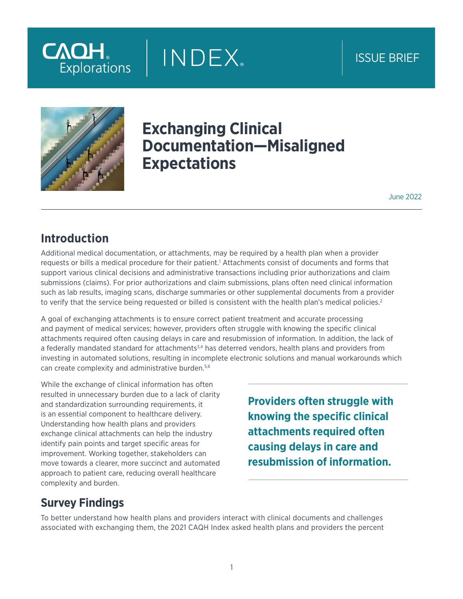# **CAQH** Explorations

## ISSUE BRIEF



## **Exchanging Clinical Documentation—Misaligned Expectations**

**INDEX** 

June 2022

### **Introduction**

Additional medical documentation, or attachments, may be required by a health plan when a provider requests or bills a medical procedure for their patient.<sup>1</sup> Attachments consist of documents and forms that support various clinical decisions and administrative transactions including prior authorizations and claim submissions (claims). For prior authorizations and claim submissions, plans often need clinical information such as lab results, imaging scans, discharge summaries or other supplemental documents from a provider to verify that the service being requested or billed is consistent with the health plan's medical policies.<sup>2</sup>

A goal of exchanging attachments is to ensure correct patient treatment and accurate processing and payment of medical services; however, providers often struggle with knowing the specific clinical attachments required often causing delays in care and resubmission of information. In addition, the lack of a federally mandated standard for attachments<sup>3,4</sup> has deterred vendors, health plans and providers from investing in automated solutions, resulting in incomplete electronic solutions and manual workarounds which can create complexity and administrative burden.5,6

While the exchange of clinical information has often resulted in unnecessary burden due to a lack of clarity and standardization surrounding requirements, it is an essential component to healthcare delivery. Understanding how health plans and providers exchange clinical attachments can help the industry identify pain points and target specific areas for improvement. Working together, stakeholders can move towards a clearer, more succinct and automated approach to patient care, reducing overall healthcare complexity and burden.

**Providers often struggle with knowing the specific clinical attachments required often causing delays in care and resubmission of information.**

### **Survey Findings**

To better understand how health plans and providers interact with clinical documents and challenges associated with exchanging them, the 2021 CAQH Index asked health plans and providers the percent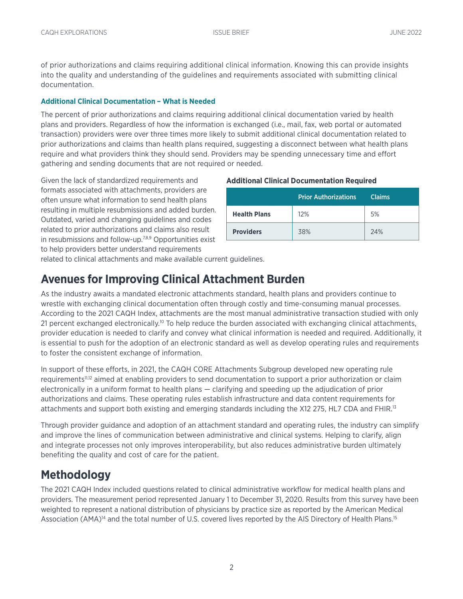of prior authorizations and claims requiring additional clinical information. Knowing this can provide insights into the quality and understanding of the guidelines and requirements associated with submitting clinical documentation.

#### **Additional Clinical Documentation – What is Needed**

The percent of prior authorizations and claims requiring additional clinical documentation varied by health plans and providers. Regardless of how the information is exchanged (i.e., mail, fax, web portal or automated transaction) providers were over three times more likely to submit additional clinical documentation related to prior authorizations and claims than health plans required, suggesting a disconnect between what health plans require and what providers think they should send. Providers may be spending unnecessary time and effort gathering and sending documents that are not required or needed.

Given the lack of standardized requirements and formats associated with attachments, providers are often unsure what information to send health plans resulting in multiple resubmissions and added burden. Outdated, varied and changing guidelines and codes related to prior authorizations and claims also result in resubmissions and follow-up.<sup>7,8,9</sup> Opportunities exist to help providers better understand requirements

#### **Additional Clinical Documentation Required**

|                     | <b>Prior Authorizations</b> | <b>Claims</b> |
|---------------------|-----------------------------|---------------|
| <b>Health Plans</b> | 12%                         | 5%            |
| <b>Providers</b>    | 38%                         | 24%           |

related to clinical attachments and make available current guidelines.

### **Avenues for Improving Clinical Attachment Burden**

As the industry awaits a mandated electronic attachments standard, health plans and providers continue to wrestle with exchanging clinical documentation often through costly and time-consuming manual processes. According to the 2021 CAQH Index, attachments are the most manual administrative transaction studied with only 21 percent exchanged electronically.<sup>10</sup> To help reduce the burden associated with exchanging clinical attachments, provider education is needed to clarify and convey what clinical information is needed and required. Additionally, it is essential to push for the adoption of an electronic standard as well as develop operating rules and requirements to foster the consistent exchange of information.

In support of these efforts, in 2021, the CAQH CORE Attachments Subgroup developed new operating rule requirements11,12 aimed at enabling providers to send documentation to support a prior authorization or claim electronically in a uniform format to health plans — clarifying and speeding up the adjudication of prior authorizations and claims. These operating rules establish infrastructure and data content requirements for attachments and support both existing and emerging standards including the X12 275, HL7 CDA and FHIR.13

Through provider guidance and adoption of an attachment standard and operating rules, the industry can simplify and improve the lines of communication between administrative and clinical systems. Helping to clarify, align and integrate processes not only improves interoperability, but also reduces administrative burden ultimately benefiting the quality and cost of care for the patient.

### **Methodology**

The 2021 CAQH Index included questions related to clinical administrative workflow for medical health plans and providers. The measurement period represented January 1 to December 31, 2020. Results from this survey have been weighted to represent a national distribution of physicians by practice size as reported by the American Medical Association (AMA)<sup>14</sup> and the total number of U.S. covered lives reported by the AIS Directory of Health Plans.<sup>15</sup>